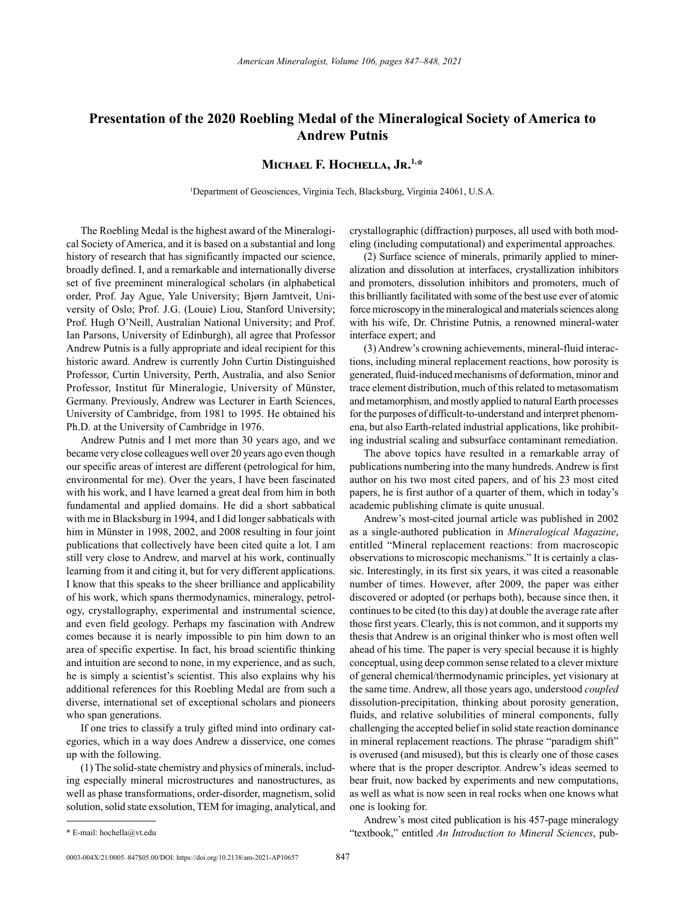## **Presentation of the 2020 Roebling Medal of the Mineralogical Society of America to Andrew Putnis**

## **Michael F. Hochella, Jr.1,\***

1 Department of Geosciences, Virginia Tech, Blacksburg, Virginia 24061, U.S.A.

The Roebling Medal is the highest award of the Mineralogical Society of America, and it is based on a substantial and long history of research that has significantly impacted our science, broadly defined. I, and a remarkable and internationally diverse set of five preeminent mineralogical scholars (in alphabetical order, Prof. Jay Ague, Yale University; Bjørn Jamtveit, University of Oslo; Prof. J.G. (Louie) Liou, Stanford University; Prof. Hugh O'Neill, Australian National University; and Prof. Ian Parsons, University of Edinburgh), all agree that Professor Andrew Putnis is a fully appropriate and ideal recipient for this historic award. Andrew is currently John Curtin Distinguished Professor, Curtin University, Perth, Australia, and also Senior Professor, Institut für Mineralogie, University of Münster, Germany. Previously, Andrew was Lecturer in Earth Sciences, University of Cambridge, from 1981 to 1995. He obtained his Ph.D. at the University of Cambridge in 1976.

Andrew Putnis and I met more than 30 years ago, and we became very close colleagues well over 20 years ago even though our specific areas of interest are different (petrological for him, environmental for me). Over the years, I have been fascinated with his work, and I have learned a great deal from him in both fundamental and applied domains. He did a short sabbatical with me in Blacksburg in 1994, and I did longer sabbaticals with him in Münster in 1998, 2002, and 2008 resulting in four joint publications that collectively have been cited quite a lot. I am still very close to Andrew, and marvel at his work, continually learning from it and citing it, but for very different applications. I know that this speaks to the sheer brilliance and applicability of his work, which spans thermodynamics, mineralogy, petrology, crystallography, experimental and instrumental science, and even field geology. Perhaps my fascination with Andrew comes because it is nearly impossible to pin him down to an area of specific expertise. In fact, his broad scientific thinking and intuition are second to none, in my experience, and as such, he is simply a scientist's scientist. This also explains why his additional references for this Roebling Medal are from such a diverse, international set of exceptional scholars and pioneers who span generations.

If one tries to classify a truly gifted mind into ordinary categories, which in a way does Andrew a disservice, one comes up with the following.

(1) The solid-state chemistry and physics of minerals, including especially mineral microstructures and nanostructures, as well as phase transformations, order-disorder, magnetism, solid solution, solid state exsolution, TEM for imaging, analytical, and crystallographic (diffraction) purposes, all used with both modeling (including computational) and experimental approaches.

(2) Surface science of minerals, primarily applied to mineralization and dissolution at interfaces, crystallization inhibitors and promoters, dissolution inhibitors and promoters, much of this brilliantly facilitated with some of the best use ever of atomic force microscopy in the mineralogical and materials sciences along with his wife, Dr. Christine Putnis, a renowned mineral-water interface expert; and

(3) Andrew's crowning achievements, mineral-fluid interactions, including mineral replacement reactions, how porosity is generated, fluid-induced mechanisms of deformation, minor and trace element distribution, much of this related to metasomatism and metamorphism, and mostly applied to natural Earth processes for the purposes of difficult-to-understand and interpret phenomena, but also Earth-related industrial applications, like prohibiting industrial scaling and subsurface contaminant remediation.

The above topics have resulted in a remarkable array of publications numbering into the many hundreds. Andrew is first author on his two most cited papers, and of his 23 most cited papers, he is first author of a quarter of them, which in today's academic publishing climate is quite unusual.

Andrew's most-cited journal article was published in 2002 as a single-authored publication in *Mineralogical Magazine*, entitled "Mineral replacement reactions: from macroscopic observations to microscopic mechanisms." It is certainly a classic. Interestingly, in its first six years, it was cited a reasonable number of times. However, after 2009, the paper was either discovered or adopted (or perhaps both), because since then, it continues to be cited (to this day) at double the average rate after those first years. Clearly, this is not common, and it supports my thesis that Andrew is an original thinker who is most often well ahead of his time. The paper is very special because it is highly conceptual, using deep common sense related to a clever mixture of general chemical/thermodynamic principles, yet visionary at the same time. Andrew, all those years ago, understood *coupled* dissolution-precipitation, thinking about porosity generation, fluids, and relative solubilities of mineral components, fully challenging the accepted belief in solid state reaction dominance in mineral replacement reactions. The phrase "paradigm shift" is overused (and misused), but this is clearly one of those cases where that is the proper descriptor. Andrew's ideas seemed to bear fruit, now backed by experiments and new computations, as well as what is now seen in real rocks when one knows what one is looking for.

Andrew's most cited publication is his 457-page mineralogy "textbook," entitled *An Introduction to Mineral Sciences*, pub-

<sup>\*</sup> E-mail: hochella@vt.edu